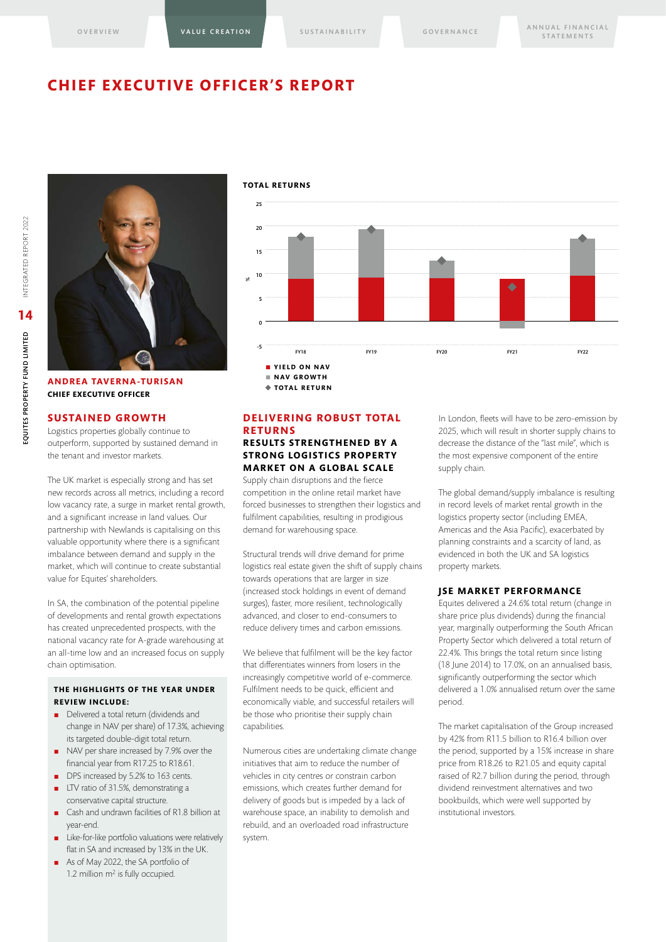### **CHIEF EXECUTIVE OFFICER'S REPORT**





**ANDREA TAVERNA-TURISAN CHIEF EXECUTIVE OFFICER** 

#### **SUSTAINED GROWTH**

Logistics properties globally continue to outperform, supported by sustained demand in the tenant and investor markets.

The UK market is especially strong and has set new records across all metrics, including a record low vacancy rate, a surge in market rental growth, and a significant increase in land values. Our partnership with Newlands is capitalising on this valuable opportunity where there is a significant imbalance between demand and supply in the market, which will continue to create substantial value for Equites' shareholders.

In SA, the combination of the potential pipeline of developments and rental growth expectations has created unprecedented prospects, with the national vacancy rate for A-grade warehousing at an all-time low and an increased focus on supply chain optimisation.

#### **THE HIGHLIGHTS OF THE YEAR UNDER REVIEW INCLUDE:**

- Delivered a total return (dividends and change in NAV per share) of 17.3%, achieving its targeted double-digit total return.
- NAV per share increased by 7.9% over the financial year from R17.25 to R18.61.
- DPS increased by 5.2% to 163 cents.
- LTV ratio of 31.5%, demonstrating a conservative capital structure.
- Cash and undrawn facilities of R1.8 billion at year-end.
- Like-for-like portfolio valuations were relatively flat in SA and increased by 13% in the UK.
- As of May 2022, the SA portfolio of 1.2 million m<sup>2</sup> is fully occupied.

#### **TOTAL RETURNS**



#### **DELIVERING ROBUST TOTAL RETURNS RESULTS STRENGTHENED BY A STRONG LOGISTICS PROPERTY**

**MARKET ON A GLOBAL SCALE** Supply chain disruptions and the fierce competition in the online retail market have

forced businesses to strengthen their logistics and fulfilment capabilities, resulting in prodigious demand for warehousing space.

Structural trends will drive demand for prime logistics real estate given the shift of supply chains towards operations that are larger in size (increased stock holdings in event of demand surges), faster, more resilient, technologically advanced, and closer to end-consumers to reduce delivery times and carbon emissions.

We believe that fulfilment will be the key factor that differentiates winners from losers in the increasingly competitive world of e-commerce. Fulfilment needs to be quick, efficient and economically viable, and successful retailers will be those who prioritise their supply chain capabilities.

Numerous cities are undertaking climate change initiatives that aim to reduce the number of vehicles in city centres or constrain carbon emissions, which creates further demand for delivery of goods but is impeded by a lack of warehouse space, an inability to demolish and rebuild, and an overloaded road infrastructure system.

In London, fleets will have to be zero-emission by 2025, which will result in shorter supply chains to decrease the distance of the "last mile", which is the most expensive component of the entire supply chain.

The global demand/supply imbalance is resulting in record levels of market rental growth in the logistics property sector (including EMEA, Americas and the Asia Pacific), exacerbated by planning constraints and a scarcity of land, as evidenced in both the UK and SA logistics property markets.

#### **JSE MARKET PERFORMANCE**

Equites delivered a 24.6% total return (change in share price plus dividends) during the financial year, marginally outperforming the South African Property Sector which delivered a total return of 22.4%. This brings the total return since listing (18 June 2014) to 17.0%, on an annualised basis, significantly outperforming the sector which delivered a 1.0% annualised return over the same period.

The market capitalisation of the Group increased by 42% from R11.5 billion to R16.4 billion over the period, supported by a 15% increase in share price from R18.26 to R21.05 and equity capital raised of R2.7 billion during the period, through dividend reinvestment alternatives and two bookbuilds, which were well supported by institutional investors.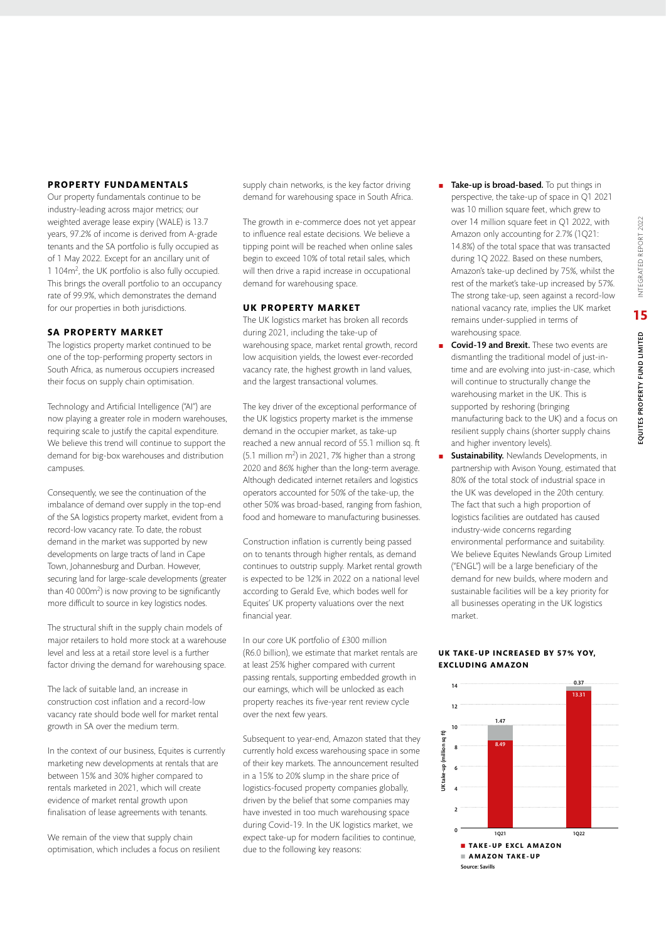#### **PROPERTY FUNDAMENTALS**

Our property fundamentals continue to be industry-leading across major metrics; our weighted average lease expiry (WALE) is 13.7 years, 97.2% of income is derived from A-grade tenants and the SA portfolio is fully occupied as of 1 May 2022. Except for an ancillary unit of 1 104m2, the UK portfolio is also fully occupied. This brings the overall portfolio to an occupancy rate of 99.9%, which demonstrates the demand for our properties in both jurisdictions.

#### **SA PROPERTY MARKET**

The logistics property market continued to be one of the top-performing property sectors in South Africa, as numerous occupiers increased their focus on supply chain optimisation.

Technology and Artificial Intelligence ("AI") are now playing a greater role in modern warehouses, requiring scale to justify the capital expenditure. We believe this trend will continue to support the demand for big-box warehouses and distribution campuses.

Consequently, we see the continuation of the imbalance of demand over supply in the top-end of the SA logistics property market, evident from a record-low vacancy rate. To date, the robust demand in the market was supported by new developments on large tracts of land in Cape Town, Johannesburg and Durban. However, securing land for large-scale developments (greater than 40 000m2) is now proving to be significantly more difficult to source in key logistics nodes.

The structural shift in the supply chain models of major retailers to hold more stock at a warehouse level and less at a retail store level is a further factor driving the demand for warehousing space.

The lack of suitable land, an increase in construction cost inflation and a record-low vacancy rate should bode well for market rental growth in SA over the medium term.

In the context of our business, Equites is currently marketing new developments at rentals that are between 15% and 30% higher compared to rentals marketed in 2021, which will create evidence of market rental growth upon finalisation of lease agreements with tenants.

We remain of the view that supply chain optimisation, which includes a focus on resilient supply chain networks, is the key factor driving demand for warehousing space in South Africa.

The growth in e-commerce does not yet appear to influence real estate decisions. We believe a tipping point will be reached when online sales begin to exceed 10% of total retail sales, which will then drive a rapid increase in occupational demand for warehousing space.

#### **UK PROPERTY MARKET**

The UK logistics market has broken all records during 2021, including the take-up of warehousing space, market rental growth, record low acquisition yields, the lowest ever-recorded vacancy rate, the highest growth in land values, and the largest transactional volumes.

The key driver of the exceptional performance of the UK logistics property market is the immense demand in the occupier market, as take-up reached a new annual record of 55.1 million sq. ft  $(5.1 \text{ million m}^2)$  in 2021, 7% higher than a strong 2020 and 86% higher than the long-term average. Although dedicated internet retailers and logistics operators accounted for 50% of the take-up, the other 50% was broad-based, ranging from fashion, food and homeware to manufacturing businesses.

Construction inflation is currently being passed on to tenants through higher rentals, as demand continues to outstrip supply. Market rental growth is expected to be 12% in 2022 on a national level according to Gerald Eve, which bodes well for Equites' UK property valuations over the next financial year.

In our core UK portfolio of £300 million (R6.0 billion), we estimate that market rentals are at least 25% higher compared with current passing rentals, supporting embedded growth in our earnings, which will be unlocked as each property reaches its five-year rent review cycle over the next few years.

Subsequent to year-end, Amazon stated that they currently hold excess warehousing space in some of their key markets. The announcement resulted in a 15% to 20% slump in the share price of logistics-focused property companies globally, driven by the belief that some companies may have invested in too much warehousing space during Covid-19. In the UK logistics market, we expect take-up for modern facilities to continue, due to the following key reasons:

- Take-up is broad-based. To put things in perspective, the take-up of space in Q1 2021 was 10 million square feet, which grew to over 14 million square feet in Q1 2022, with Amazon only accounting for 2.7% (1Q21: 14.8%) of the total space that was transacted during 1Q 2022. Based on these numbers, Amazon's take-up declined by 75%, whilst the rest of the market's take-up increased by 57%. The strong take-up, seen against a record-low national vacancy rate, implies the UK market remains under-supplied in terms of warehousing space.
- Covid-19 and Brexit. These two events are dismantling the traditional model of just-intime and are evolving into just-in-case, which will continue to structurally change the warehousing market in the UK. This is supported by reshoring (bringing manufacturing back to the UK) and a focus on resilient supply chains (shorter supply chains and higher inventory levels).
- **Sustainability.** Newlands Developments, in partnership with Avison Young, estimated that 80% of the total stock of industrial space in the UK was developed in the 20th century. The fact that such a high proportion of logistics facilities are outdated has caused industry-wide concerns regarding environmental performance and suitability. We believe Equites Newlands Group Limited ("ENGL") will be a large beneficiary of the demand for new builds, where modern and sustainable facilities will be a key priority for all businesses operating in the UK logistics market.

#### **UK TAKE-UP INCREASED BY 57% YOY, EXCLUDING AMAZON**

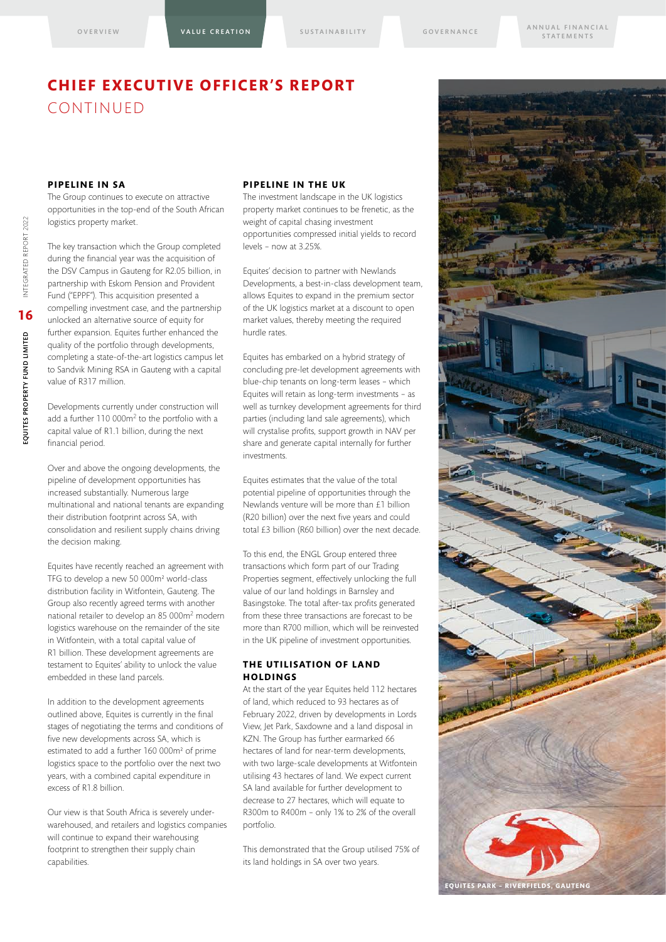### **CHIEF EXECUTIVE OFFICER'S REPORT**  CONTINUED

#### **PIPELINE IN SA**

The Group continues to execute on attractive opportunities in the top-end of the South African logistics property market.

The key transaction which the Group completed during the financial year was the acquisition of the DSV Campus in Gauteng for R2.05 billion, in partnership with Eskom Pension and Provident Fund ("EPPF"). This acquisition presented a compelling investment case, and the partnership unlocked an alternative source of equity for further expansion. Equites further enhanced the quality of the portfolio through developments, completing a state-of-the-art logistics campus let to Sandvik Mining RSA in Gauteng with a capital value of R317 million.

Developments currently under construction will add a further 110 000m2 to the portfolio with a capital value of R1.1 billion, during the next financial period.

Over and above the ongoing developments, the pipeline of development opportunities has increased substantially. Numerous large multinational and national tenants are expanding their distribution footprint across SA, with consolidation and resilient supply chains driving the decision making.

Equites have recently reached an agreement with TFG to develop a new 50 000m² world-class distribution facility in Witfontein, Gauteng. The Group also recently agreed terms with another national retailer to develop an 85 000m2 modern logistics warehouse on the remainder of the site in Witfontein, with a total capital value of R1 billion. These development agreements are testament to Equites' ability to unlock the value embedded in these land parcels.

In addition to the development agreements outlined above, Equites is currently in the final stages of negotiating the terms and conditions of five new developments across SA, which is estimated to add a further 160 000m² of prime logistics space to the portfolio over the next two years, with a combined capital expenditure in excess of R1.8 billion.

Our view is that South Africa is severely underwarehoused, and retailers and logistics companies will continue to expand their warehousing footprint to strengthen their supply chain capabilities.

#### **PIPELINE IN THE UK**

The investment landscape in the UK logistics property market continues to be frenetic, as the weight of capital chasing investment opportunities compressed initial yields to record levels – now at 3.25%.

Equites' decision to partner with Newlands Developments, a best-in-class development team, allows Equites to expand in the premium sector of the UK logistics market at a discount to open market values, thereby meeting the required hurdle rates.

Equites has embarked on a hybrid strategy of concluding pre-let development agreements with blue-chip tenants on long-term leases – which Equites will retain as long-term investments – as well as turnkey development agreements for third parties (including land sale agreements), which will crystalise profits, support growth in NAV per share and generate capital internally for further investments.

Equites estimates that the value of the total potential pipeline of opportunities through the Newlands venture will be more than £1 billion (R20 billion) over the next five years and could total £3 billion (R60 billion) over the next decade.

To this end, the ENGL Group entered three transactions which form part of our Trading Properties segment, effectively unlocking the full value of our land holdings in Barnsley and Basingstoke. The total after-tax profits generated from these three transactions are forecast to be more than R700 million, which will be reinvested in the UK pipeline of investment opportunities.

#### **THE UTILISATION OF LAND HOLDINGS**

At the start of the year Equites held 112 hectares of land, which reduced to 93 hectares as of February 2022, driven by developments in Lords View, Jet Park, Saxdowne and a land disposal in KZN. The Group has further earmarked 66 hectares of land for near-term developments, with two large-scale developments at Witfontein utilising 43 hectares of land. We expect current SA land available for further development to decrease to 27 hectares, which will equate to R300m to R400m – only 1% to 2% of the overall portfolio.

This demonstrated that the Group utilised 75% of its land holdings in SA over two years.

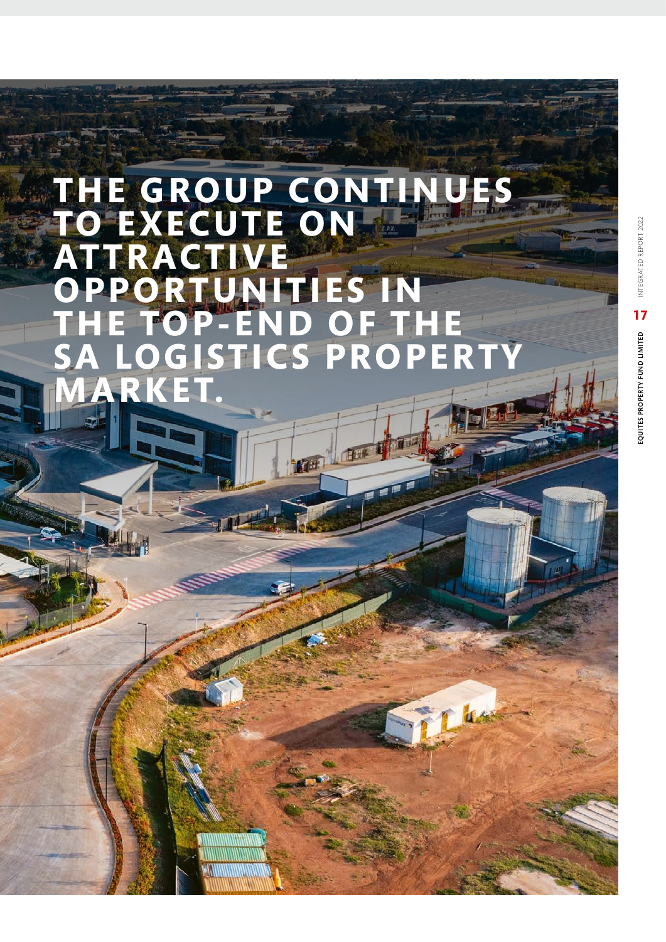## **THE GROUP CONTINUES TO EXECUTE ON ATTRACTIVE OPPORTUNITIES IN THE TOP-END OF THE SA LOGISTICS PROPERTY MARKET.**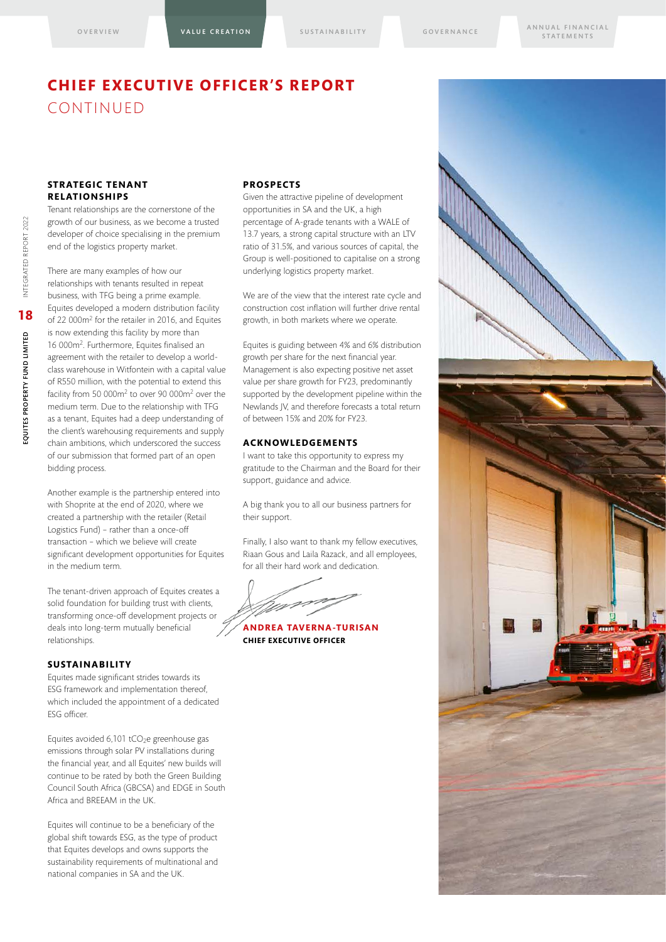## **CHIEF EXECUTIVE OFFICER'S REPORT**  CONTINUED

#### **STRATEGIC TENANT RELATIONSHIPS**

Tenant relationships are the cornerstone of the growth of our business, as we become a trusted developer of choice specialising in the premium end of the logistics property market.

There are many examples of how our relationships with tenants resulted in repeat business, with TFG being a prime example. Equites developed a modern distribution facility of 22 000m2 for the retailer in 2016, and Equites is now extending this facility by more than 16 000m2. Furthermore, Equites finalised an agreement with the retailer to develop a worldclass warehouse in Witfontein with a capital value of R550 million, with the potential to extend this facility from 50 000m2 to over 90 000m2 over the medium term. Due to the relationship with TFG as a tenant, Equites had a deep understanding of the client's warehousing requirements and supply chain ambitions, which underscored the success of our submission that formed part of an open bidding process.

Another example is the partnership entered into with Shoprite at the end of 2020, where we created a partnership with the retailer (Retail Logistics Fund) – rather than a once-off transaction – which we believe will create significant development opportunities for Equites in the medium term.

The tenant-driven approach of Equites creates a solid foundation for building trust with clients, transforming once-off development projects or deals into long-term mutually beneficial relationships.

#### **SUSTAINABILITY**

Equites made significant strides towards its ESG framework and implementation thereof, which included the appointment of a dedicated ESG officer.

Equites avoided 6,101 tCO<sub>2</sub>e greenhouse gas emissions through solar PV installations during the financial year, and all Equites' new builds will continue to be rated by both the Green Building Council South Africa (GBCSA) and EDGE in South Africa and BREEAM in the UK.

Equites will continue to be a beneficiary of the global shift towards ESG, as the type of product that Equites develops and owns supports the sustainability requirements of multinational and national companies in SA and the UK.

#### **PROSPECTS**

Given the attractive pipeline of development opportunities in SA and the UK, a high percentage of A-grade tenants with a WALE of 13.7 years, a strong capital structure with an LTV ratio of 31.5%, and various sources of capital, the Group is well-positioned to capitalise on a strong underlying logistics property market.

We are of the view that the interest rate cycle and construction cost inflation will further drive rental growth, in both markets where we operate.

Equites is guiding between 4% and 6% distribution growth per share for the next financial year. Management is also expecting positive net asset value per share growth for FY23, predominantly supported by the development pipeline within the Newlands JV, and therefore forecasts a total return of between 15% and 20% for FY23.

#### **ACKNOWLEDGEMENTS**

I want to take this opportunity to express my gratitude to the Chairman and the Board for their support, guidance and advice.

A big thank you to all our business partners for their support.

Finally, I also want to thank my fellow executives, Riaan Gous and Laila Razack, and all employees, for all their hard work and dedication.

**ANDREA TAVERNA-TURISAN**

**CHIEF EXECUTIVE OFFICER**